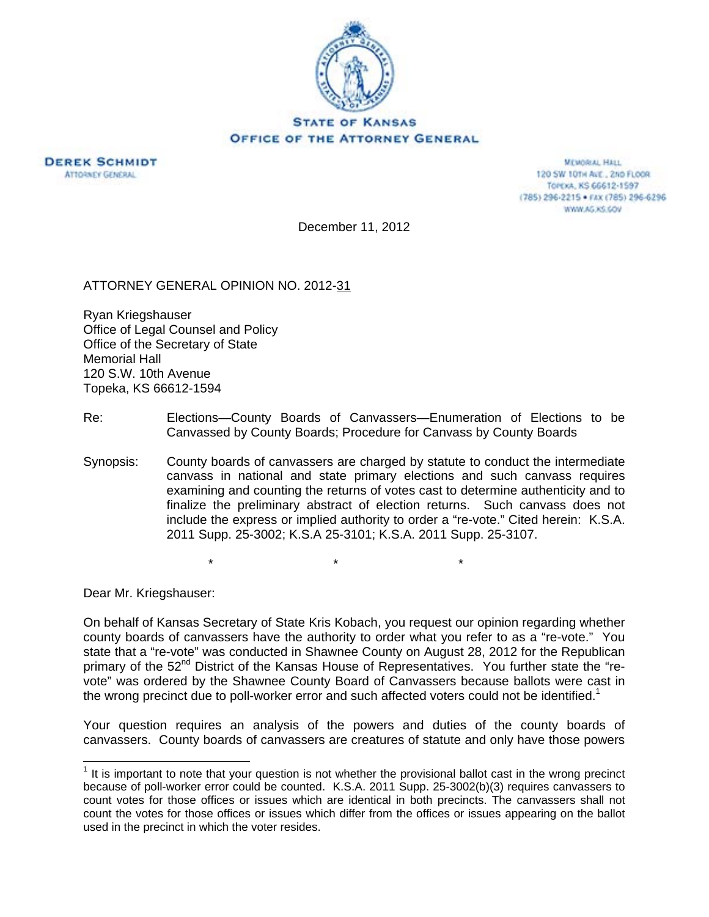



**MEMORIAL HALL** 120 SW 101H AVE., 2ND FLOOR TOPEXA, KS 66612-1597 (785) 296-2215 · FAX (785) 296-6296 WWW.AG.XS.GOV

December 11, 2012

ATTORNEY GENERAL OPINION NO. 2012-31

Ryan Kriegshauser Office of Legal Counsel and Policy Office of the Secretary of State Memorial Hall 120 S.W. 10th Avenue Topeka, KS 66612-1594

- Re: Elections—County Boards of Canvassers—Enumeration of Elections to be Canvassed by County Boards; Procedure for Canvass by County Boards
- Synopsis: County boards of canvassers are charged by statute to conduct the intermediate canvass in national and state primary elections and such canvass requires examining and counting the returns of votes cast to determine authenticity and to finalize the preliminary abstract of election returns. Such canvass does not include the express or implied authority to order a "re-vote." Cited herein: K.S.A. 2011 Supp. 25-3002; K.S.A 25-3101; K.S.A. 2011 Supp. 25-3107.

\* \* \*

Dear Mr. Kriegshauser:

 $\overline{a}$ 

On behalf of Kansas Secretary of State Kris Kobach, you request our opinion regarding whether county boards of canvassers have the authority to order what you refer to as a "re-vote." You state that a "re-vote" was conducted in Shawnee County on August 28, 2012 for the Republican primary of the 52<sup>nd</sup> District of the Kansas House of Representatives. You further state the "revote" was ordered by the Shawnee County Board of Canvassers because ballots were cast in the wrong precinct due to poll-worker error and such affected voters could not be identified.<sup>1</sup>

Your question requires an analysis of the powers and duties of the county boards of canvassers. County boards of canvassers are creatures of statute and only have those powers

 $1$  It is important to note that your question is not whether the provisional ballot cast in the wrong precinct because of poll-worker error could be counted. K.S.A. 2011 Supp. 25-3002(b)(3) requires canvassers to count votes for those offices or issues which are identical in both precincts. The canvassers shall not count the votes for those offices or issues which differ from the offices or issues appearing on the ballot used in the precinct in which the voter resides.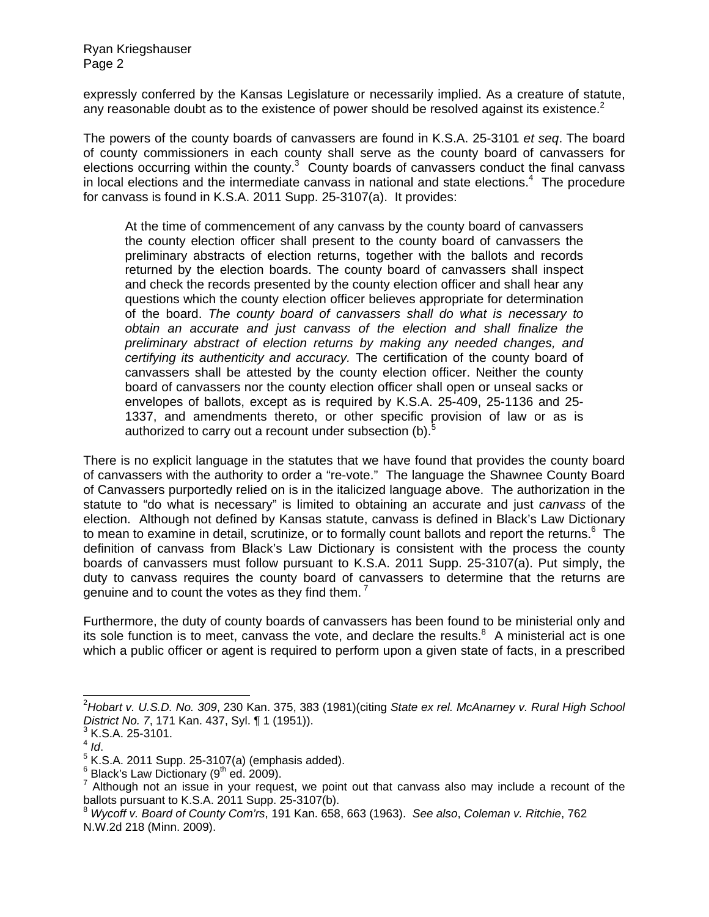expressly conferred by the Kansas Legislature or necessarily implied. As a creature of statute, any reasonable doubt as to the existence of power should be resolved against its existence.<sup>2</sup>

The powers of the county boards of canvassers are found in K.S.A. 25-3101 *et seq*. The board of county commissioners in each county shall serve as the county board of canvassers for elections occurring within the county. $3$  County boards of canvassers conduct the final canvass in local elections and the intermediate canvass in national and state elections.<sup>4</sup> The procedure for canvass is found in K.S.A. 2011 Supp. 25-3107(a). It provides:

At the time of commencement of any canvass by the county board of canvassers the county election officer shall present to the county board of canvassers the preliminary abstracts of election returns, together with the ballots and records returned by the election boards. The county board of canvassers shall inspect and check the records presented by the county election officer and shall hear any questions which the county election officer believes appropriate for determination of the board. *The county board of canvassers shall do what is necessary to obtain an accurate and just canvass of the election and shall finalize the preliminary abstract of election returns by making any needed changes, and certifying its authenticity and accuracy.* The certification of the county board of canvassers shall be attested by the county election officer. Neither the county board of canvassers nor the county election officer shall open or unseal sacks or envelopes of ballots, except as is required by K.S.A. 25-409, 25-1136 and 25- 1337, and amendments thereto, or other specific provision of law or as is authorized to carry out a recount under subsection (b).<sup>5</sup>

There is no explicit language in the statutes that we have found that provides the county board of canvassers with the authority to order a "re-vote." The language the Shawnee County Board of Canvassers purportedly relied on is in the italicized language above. The authorization in the statute to "do what is necessary" is limited to obtaining an accurate and just *canvass* of the election. Although not defined by Kansas statute, canvass is defined in Black's Law Dictionary to mean to examine in detail, scrutinize, or to formally count ballots and report the returns.<sup>6</sup> The definition of canvass from Black's Law Dictionary is consistent with the process the county boards of canvassers must follow pursuant to K.S.A. 2011 Supp. 25-3107(a). Put simply, the duty to canvass requires the county board of canvassers to determine that the returns are genuine and to count the votes as they find them.<sup>7</sup>

Furthermore, the duty of county boards of canvassers has been found to be ministerial only and its sole function is to meet, canvass the vote, and declare the results. $8\,$  A ministerial act is one which a public officer or agent is required to perform upon a given state of facts, in a prescribed

 $\overline{a}$ 

<sup>2</sup> *Hobart v. U.S.D. No. 309*, 230 Kan. 375, 383 (1981)(citing *State ex rel. McAnarney v. Rural High School District No. 7, 171 Kan. 437, Syl.* ¶ 1 (1951)).

 $3$  K.S.A. 25-3101.

 $4$   $\frac{1}{4}$ 

 $5$  K.S.A. 2011 Supp. 25-3107(a) (emphasis added).

<sup>6</sup>  $^6$  Black's Law Dictionary (9<sup>th</sup> ed. 2009).<br><sup>7</sup> Although not an issue in your reque

Although not an issue in your request, we point out that canvass also may include a recount of the ballots pursuant to K.S.A. 2011 Supp. 25-3107(b).

<sup>8</sup> *Wycoff v. Board of County Com'rs*, 191 Kan. 658, 663 (1963). *See also*, *Coleman v. Ritchie*, 762 N.W.2d 218 (Minn. 2009).